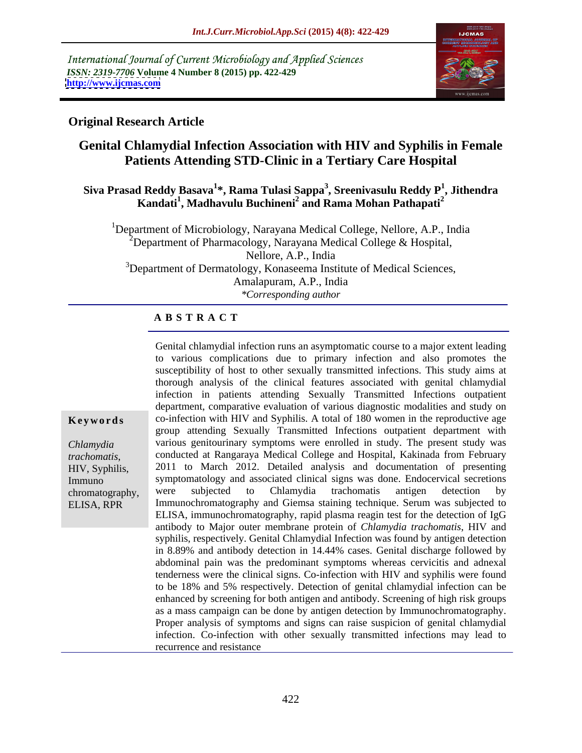International Journal of Current Microbiology and Applied Sciences *ISSN: 2319-7706* **Volume 4 Number 8 (2015) pp. 422-429 <http://www.ijcmas.com>**



## **Original Research Article**

# **Genital Chlamydial Infection Association with HIV and Syphilis in Female Patients Attending STD-Clinic in a Tertiary Care Hospital**

### **Siva Prasad Reddy Basava<sup>1</sup> \*, Rama Tulasi Sappa<sup>3</sup> , Sreenivasulu Reddy P<sup>1</sup> , Jithendra Kandati<sup>1</sup> , Madhavulu Buchineni<sup>2</sup> and Rama Mohan Pathapati<sup>2</sup>**

<sup>1</sup>Department of Microbiology, Narayana Medical College, Nellore, A.P., India  $2^2$ Department of Pharmacology, Narayana Medical College & Hospital, Nellore, A.P., India <sup>3</sup>Department of Dermatology, Konaseema Institute of Medical Sciences, Amalapuram, A.P., India *\*Corresponding author*

### **A B S T R A C T**

Genital chlamydial infection runs an asymptomatic course to a major extent leading to various complications due to primary infection and also promotes the susceptibility of host to other sexually transmitted infections. This study aims at thorough analysis of the clinical features associated with genital chlamydial infection in patients attending Sexually Transmitted Infections outpatient department, comparative evaluation of various diagnostic modalities and study on **Keywords** co-infection with HIV and Syphilis. A total of 180 women in the reproductive age group attending Sexually Transmitted Infections outpatient department with various genitourinary symptoms were enrolled in study. The present study was *Chlamydia* conducted at Rangaraya Medical College and Hospital, Kakinada from February trachomatis, conducted at Rangaraya Medical College and Hospital, Kakinada from February<br>HIV, Syphilis, 2011 to March 2012. Detailed analysis and documentation of presenting symptomatology and associated clinical signs was done. Endocervical secretions Immuno were subjected to Chlamydia trachomatis antigen detection by Immunochromatography and Giemsa staining technique. Serum was subjected to ELISA, immunochromatography, rapid plasma reagin test for the detection of IgG antibody to Major outer membrane protein of *Chlamydia trachomatis*, HIV and syphilis, respectively. Genital Chlamydial Infection was found by antigen detection in 8.89% and antibody detection in 14.44% cases. Genital discharge followed by abdominal pain was the predominant symptoms whereas cervicitis and adnexal tenderness were the clinical signs. Co-infection with HIV and syphilis were found to be 18% and 5% respectively. Detection of genital chlamydial infection can be enhanced by screening for both antigen and antibody. Screening of high risk groups as a mass campaign can be done by antigen detection by Immunochromatography. Proper analysis of symptoms and signs can raise suspicion of genital chlamydial infection. Co-infection with other sexually transmitted infections may lead to recurrence and resistance chromatography, were subjected to Chlamydia trachomatis antigen detection by

ELISA, RPR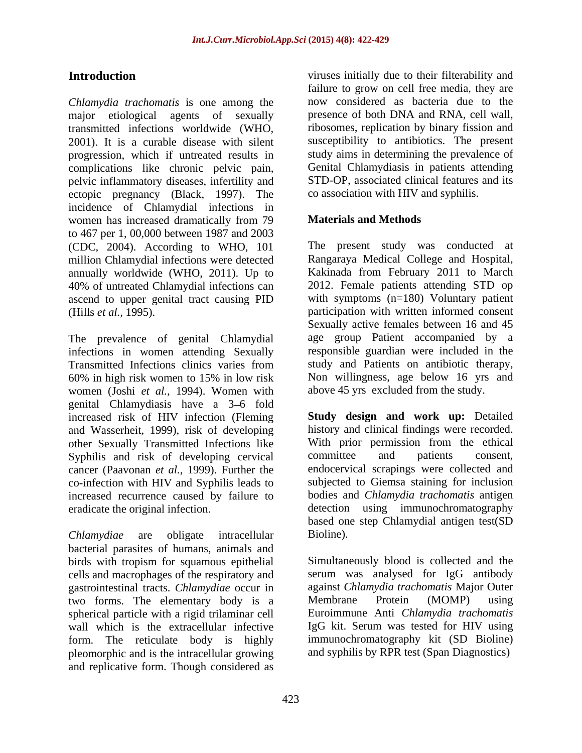*Chlamydia trachomatis* is one among the major etiological agents of sexually transmitted infections worldwide (WHO, 2001). It is a curable disease with silent progression, which if untreated results in complications like chronic pelvic pain, pelvic inflammatory diseases, infertility and ectopic pregnancy (Black, 1997). The incidence of Chlamydial infections in women has increased dramatically from 79 **Materials and Methods** to 467 per 1, 00,000 between 1987 and 2003 (CDC, 2004). According to WHO, 101 The present study was conducted at million Chlamydial infections were detected annually worldwide (WHO, 2011). Up to Kakinada from February 2011 to March 40% of untreated Chlamydial infections can ascend to upper genital tract causing PID

The prevalence of genital Chlamydial infections in women attending Sexually Transmitted Infections clinics varies from 60% in high risk women to 15% in low risk women (Joshi *et al.,* 1994). Women with genital Chlamydiasis have a 3–6 fold increased risk of HIV infection (Fleming and Wasserheit, 1999), risk of developing other Sexually Transmitted Infections like With prior permission from Syphilis and risk of developing cervical committee and patients Syphilis and risk of developing cervical committee and patients consent, cancer (Paavonan *et al.,* 1999). Further the co-infection with HIV and Syphilis leads to increased recurrence caused by failure to eradicate the original infection. detection using immunochromatography

*Chlamydiae* are obligate intracellular bacterial parasites of humans, animals and birds with tropism for squamous epithelial cells and macrophages of the respiratory and gastrointestinal tracts. *Chlamydiae* occur in against *Chlamydia trachomatis* Major Outer<br>two forms The elementary body is a Membrane Protein (MOMP) using two forms. The elementary body is a spherical particle with a rigid trilaminar cell form. The reticulate body is highly pleomorphic and is the intracellular growing and replicative form. Though considered as

**Introduction viruses** initially due to their filterability and failure to grow on cell free media, they are now considered as bacteria due to the presence of both DNA and RNA, cell wall, ribosomes, replication by binary fission and susceptibility to antibiotics. The present study aims in determining the prevalence of Genital Chlamydiasis in patients attending STD-OP, associated clinical features and its co association with HIV and syphilis.

### **Materials and Methods**

(Hills *et al.,* 1995). participation with written informed consent Rangaraya Medical College and Hospital, 2012. Female patients attending STD op with symptoms (n=180) Voluntary patient Sexually active females between 16 and 45 age group Patient accompanied by a responsible guardian were included in the study and Patients on antibiotic therapy, Non willingness, age below 16 yrs and above 45 yrs excluded from the study.

> **Study design and work up:** Detailed history and clinical findings were recorded. With prior permission from the ethical committee and patients consent, endocervical scrapings were collected and subjected to Giemsa staining for inclusion bodies and *Chlamydia trachomatis* antigen based one step Chlamydial antigen test(SD Bioline).

wall which is the extracellular infective IgG kit. Serum was tested for HIV using Simultaneously blood is collected and the serum was analysed for IgG antibody against *Chlamydia trachomatis* Major Outer Membrane Protein (MOMP) using Euroimmune Anti *Chlamydia trachomatis* immunochromatography kit (SD Bioline) and syphilis by RPR test (Span Diagnostics)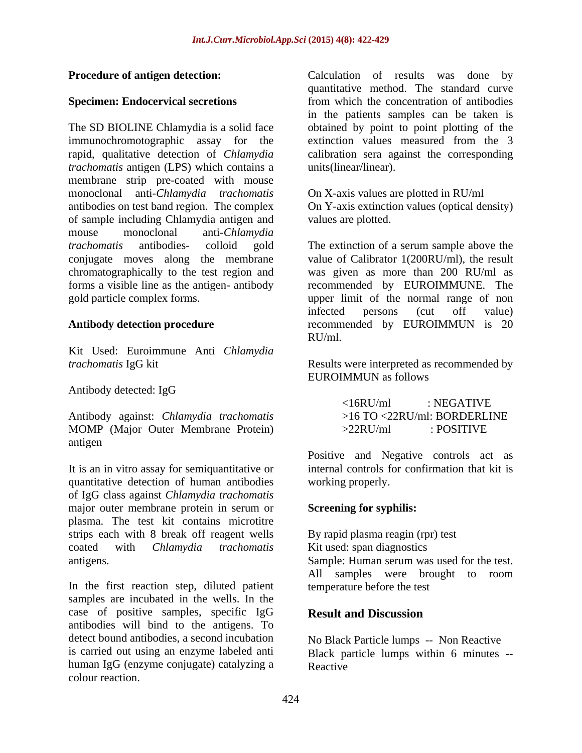The SD BIOLINE Chlamydia is a solid face immunochromotographic assay for the extinction values measured from the 3 rapid, qualitative detection of *Chlamydia*  calibration sera against the corresponding *trachomatis* antigen (LPS) which contains a membrane strip pre-coated with mouse monoclonal anti-*Chlamydia trachomatis* antibodies on test band region. The complex On Y-axis extinction values (optical density) of sample including Chlamydia antigen and mouse monoclonal anti-*Chlamydia trachomatis* antibodies- colloid gold The extinction of a serum sample above the conjugate moves along the membrane value of Calibrator 1(200RU/ml), the result chromatographically to the test region and was given as more than 200 RU/ml as forms a visible line as the antigen- antibody recommended by EUROIMMUNE. The gold particle complex forms. The upper limit of the normal range of non

Kit Used: Euroimmune Anti *Chlamydia* 

Antibody detected: IgG

Antibody against: *Chlamydia trachomatis* MOMP (Major Outer Membrane Protein) >22RU/ml : POSITIVE antigen

It is an in vitro assay for semiquantitative or quantitative detection of human antibodies of IgG class against *Chlamydia trachomatis* major outer membrane protein in serum or plasma. The test kit contains microtitre strips each with 8 break off reagent wells coated with *Chlamydia trachomatis*

In the first reaction step, diluted patient samples are incubated in the wells. In the case of positive samples, specific IgG antibodies will bind to the antigens. To detect bound antibodies, a second incubation No Black Particle lumps -- Non Reactive is carried out using an enzyme labeled anti Black particle lumps within 6 minutes - human IgG (enzyme conjugate) catalyzing a colour reaction.

**Procedure of antigen detection:** Calculation of results was done by **Specimen: Endocervical secretions** from which the concentration of antibodies quantitative method. The standard curve in the patients samples can be taken is obtained by point to point plotting of the extinction values measured from the 3 units(linear/linear).

> On X-axis values are plotted in RU/ml values are plotted.

**Antibody detection procedure** recommended by EUROIMMUN is 20 infected persons (cut off value) RU/ml.

*trachomatis* IgG kit Results were interpreted as recommended by EUROIMMUN as follows

> <16RU/ml : NEGATIVE >16 TO <22RU/ml: BORDERLINE >22RU/ml : POSITIVE

Positive and Negative controls act as internal controls for confirmation that kit is working properly.

# **Screening for syphilis:**

antigens. Sample: Human serum was used for the test. By rapid plasma reagin (rpr) test Kit used: span diagnostics All samples were brought to room temperature before the test

# **Result and Discussion**

Reactive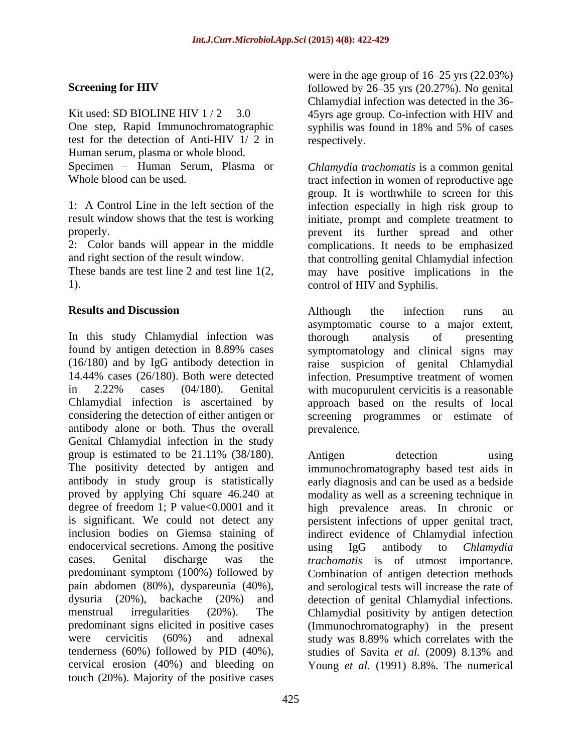One step, Rapid Immunochromatographic syphilis was found in 18% and 5% of cases test for the detection of Anti-HIV 1/ 2 in Human serum, plasma or whole blood.

In this study Chlamydial infection was thorough analysis of presenting found by antigen detection in 8.89% cases symptomatology and clinical signs may (16/180) and by IgG antibody detection in raise suspicion of genital Chlamydial 14.44% cases (26/180). Both were detected infection. Presumptive treatment of women in 2.22% cases (04/180). Genital with mucopurulent cervicitis is a reasonable Chlamydial infection is ascertained by approach based on the results of local considering the detection of either antigen or screening programmes or estimate of antibody alone or both. Thus the overall Genital Chlamydial infection in the study group is estimated to be 21.11% (38/180). Antigen detection using The positivity detected by antigen and immunochromatography based test aids in antibody in study group is statistically proved by applying Chi square 46.240 at modality as well as a screening technique in degree of freedom 1; P value<0.0001 and it high prevalence areas. In chronic or is significant. We could not detect any persistent infections of upper genital tract, inclusion bodies on Giemsa staining of indirect evidence of Chlamydial infection endocervical secretions. Among the positive using IgG antibody to *Chlamydia* cases, Genital discharge was the *trachomatis* is of utmost importance. predominant symptom (100%) followed by Combination of antigen detection methods pain abdomen (80%), dyspareunia (40%), and serological tests will increase the rate of dysuria (20%), backache (20%) and detection of genital Chlamydial infections. menstrual irregularities (20%). The Chlamydial positivity by antigen detection predominant signs elicited in positive cases (Immunochromatography) in the present were cervicitis (60%) and adnexal study was 8.89% which correlates with the tenderness (60%) followed by PID (40%), studies of Savita et al. (2009) 8.13% and cervical erosion (40%) and bleeding on Young *et al.* (1991) 8.8%. The numericaltouch (20%). Majority of the positive cases

**Screening for HIV** followed by 26–35 yrs (20.27%). No genital Kit used: SD BIOLINE HIV 1/2 3.0 45yrs age group. Co-infection with HIV and were in the age group of  $16-25$  yrs  $(22.03%)$ Chlamydial infection was detected in the 36 syphilis was found in 18% and 5% of cases respectively.

Specimen – Human Serum, Plasma or *Chlamydia trachomatis* is a common genital Whole blood can be used. The tract infection in women of reproductive age 1: A Control Line in the left section of the infection especially in high risk group to result window shows that the test is working initiate, prompt and complete treatment to properly. prevent its further spread and other 2: Color bands will appear in the middle complications. It needs to be emphasized and right section of the result window. that controlling genital Chlamydial infection These bands are test line 2 and test line 1(2, may have positive implications in the 1). control of HIV and Syphilis. group. It is worthwhile to screen for this

**Results and Discussion Results and Discussion Results and Discussion Results and Pierre Although** the infection runs and Although the infection runs an asymptomatic course to a major extent, thorough analysis of presenting prevalence.

> Antigen detection using early diagnosis and can be used as a bedside using IgG antibody to *Chlamydia*  study was 8.89% which correlates with the studies of Savita *et al.* (2009) 8.13% and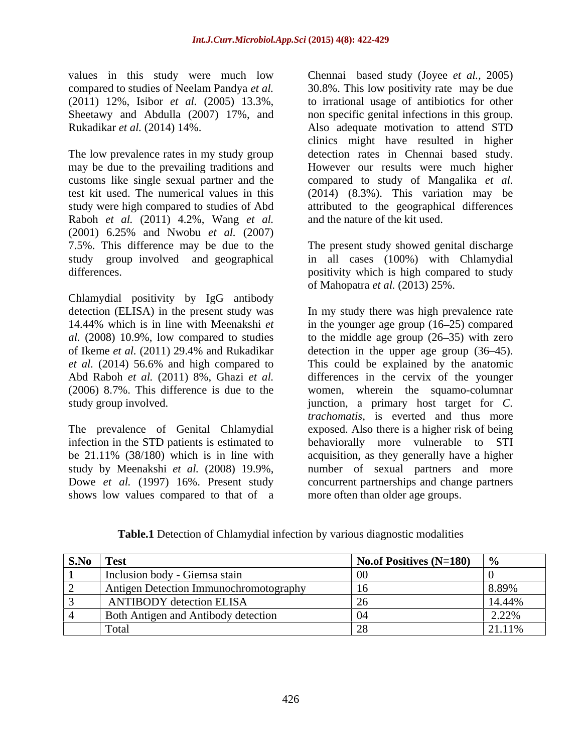values in this study were much low

Raboh *et al.* (2011) 4.2%, Wang *et al.* (2001) 6.25% and Nwobu *et al.* (2007) 7.5%. This difference may be due to the The present study showed genital discharge study group involved and geographical in all cases (100%) with Chlamydial differences. The positivity which is high compared to study

Chlamydial positivity by IgG antibody

shows low values compared to that of a

compared to studies of Neelam Pandya *et al.*  30.8%. This low positivity rate may be due (2011) 12%, Isibor *et al.* (2005) 13.3%, to irrational usage of antibiotics for other Sheetawy and Abdulla (2007) 17%, and non specific genital infections in this group. Rukadikar *et al.* (2014) 14%. Also adequate motivation to attend STD The low prevalence rates in my study group detection rates in Chennai based study. may be due to the prevailing traditions and However our results were much higher customs like single sexual partner and the compared to study of Mangalika *et al.* test kit used. The numerical values in this (2014) (8.3%). This variation may be study were high compared to studies of Abd attributed to the geographical differences Chennai based study (Joyee *et al.,* 2005) clinics might have resulted in higher and the nature of the kit used.

of Mahopatra *et al.* (2013) 25%.

detection (ELISA) in the present study was In my study there was high prevalence rate 14.44% which is in line with Meenakshi *et* in the younger age group (16–25) compared al. (2008) 10.9%, low compared to studies to the middle age group (26–35) with zero of Ikeme *et al.* (2011) 29.4% and Rukadikar *et al.* (2014) 56.6% and high compared to This could be explained by the anatomic Abd Raboh *et al.* (2011) 8%, Ghazi *et al.* differences in the cervix of the younger (2006) 8.7%. This difference is due to the women, wherein the squamo-columnar study group involved. junction, a primary host target for *C.*  The prevalence of Genital Chlamydial exposed. Also there is a higher risk of being infection in the STD patients is estimated to behaviorally more vulnerable to STI be 21.11% (38/180) which is in line with acquisition, as they generally have a higher study by Meenakshi *et al.* (2008) 19.9%, number of sexual partners and more Dowe *et al.* (1997) 16%. Present study concurrent partnerships and change partners detection in the upper age group  $(36-45)$ . *trachomatis*, is everted and thus more more often than older age groups.

| <b>Table.1</b> Detection of Chlamydial<br>al infection by various diagnostic modalities |  |
|-----------------------------------------------------------------------------------------|--|
|                                                                                         |  |

| S.No Test                                                                       | No.of Positives (N=180) $\sqrt{ }$ % |                 |
|---------------------------------------------------------------------------------|--------------------------------------|-----------------|
| Inclusion body - Giemsa stain                                                   |                                      |                 |
| Antigen Detection Immunochromotography                                          |                                      | 8.899           |
| ANTIBODY detection ELISA                                                        |                                      |                 |
| Both Antigen and Antibody detection                                             |                                      | י <i>הר</i> ה נ |
| the contract of the contract of the contract of the contract of the contract of |                                      | $11\%$          |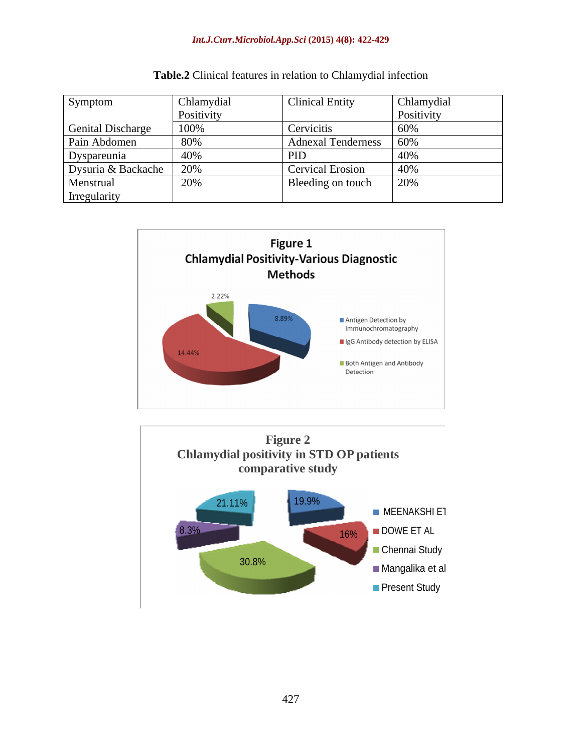### *Int.J.Curr.Microbiol.App.Sci* **(2015) 4(8): 422-429**

| Symptom                  | Chlamydial        | <b>Clinical Entity</b>   | <b>Chlamydial</b> |
|--------------------------|-------------------|--------------------------|-------------------|
|                          | <b>Positivity</b> |                          | <b>POSITIVITY</b> |
| <b>Genital Discharge</b> | 100%              | Cervicitis               |                   |
| Pain Abdomen             |                   | Adnexal Tenderness   60% |                   |
| Dyspareunia              | 40%               | $1 \text{ } \mu$         |                   |
| Dysuria & Backache 20%   |                   | Cervical Erosion         |                   |
| Menstrual                | 20%               | Bleeding on touch        | 20%               |
| Irregularity             |                   |                          |                   |





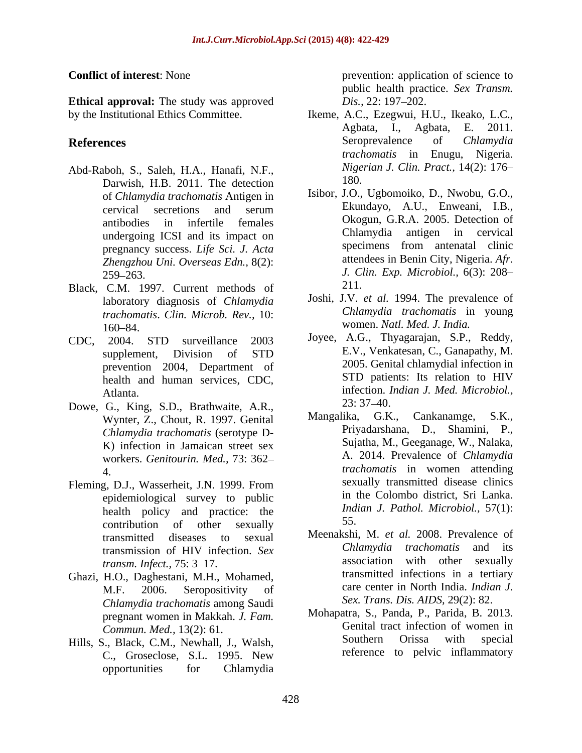**Ethical approval:** The study was approved  $Dis.$  22: 197–202.

- Abd-Raboh, S., Saleh, H.A., Hanafi, N.F., *Nige*<br>Derwich, H.B., 2011, The detection 180. Darwish, H.B. 2011. The detection<br>of Chlamydia trachomatis Antigen in Isibor, J.O., Ugbomoiko, D., Nwobu, G.O., undergoing ICSI and its impact on pregnancy success. *Life Sci. J. Acta Zhengzhou Uni. Overseas Edn.,* 8(2):
- Black, C.M. 1997. Current methods of 211. laboratory diagnosis of *Chlamydia trachomatis*. *Clin. Microb. Rev.,* 10: 160–84. vomen. Natl. Med. J. India.
- health and human services, CDC,
- Dowe, G., King, S.D., Brathwaite, A.R., 23: 37–40.<br>Wynter 7, Chout R, 1997 Genital Mangalika, G.K., Cankanamge, S.K., Wynter, Z., Chout, R. 1997. Genital *Chlamydia trachomatis* (serotype D- K) infection in Jamaican street sex workers. *Genitourin. Med.,* 73: 362
- Fleming, D.J., Wasserheit, J.N. 1999. From epidemiological survey to public health policy and practice: the *Ind*<br>contribution of other counclus 55.  $\text{contribution}$  of other sexually  $\frac{55}{100}$ .
- Ghazi, H.O., Daghestani, M.H., Mohamed, *Chlamydia trachomatis* among Saudi pregnant women in Makkah. *J. Fam.*
- Hills, S., Black, C.M., Newhall, J., Walsh, C., Groseclose, S.L. 1995. New opportunities for Chlamydia

**Conflict of interest**: None prevention: application of science to public health practice. *Sex Transm. Dis.,* 22: 197–202.

- by the Institutional Ethics Committee. Ikeme, A.C., Ezegwui, H.U., Ikeako, L.C., **References** entries and **References** contract the Seroprevalence of *Chlamydia* Agbata, I., Agbata, E. 2011. Seroprevalence of *Chlamydia trachomatis* in Enugu, Nigeria. *Nigerian J. Clin. Pract.,* 14(2): 176 180.
	- of *Chlamydia trachomatis* Antigen in Isibor, J.O., Ugbomoiko, D., Nwobu, G.O., cervical secretions and serum Ekundayo, A.U., Enweani, I.B., cervical secretions and serum Ekundayo, A.U., Enweani, I.B., antibodies in infertile females Okogun, G.R.A. 2005. Detection of<br>undergoing ICSI and its impact on Chlamydia antigen in cervical 259 263. *J. Clin. Exp. Microbiol.,* 6(3): 208 Isibor, J.O., Ugbomoiko, D., Nwobu, G.O., Ekundayo, A.U., Enweani, I.B., Okogun, G.R.A. 2005. Detection of Chlamydia antigen in cervical specimens from antenatal clinic attendees in Benin City, Nigeria. *Afr.* 211.
		- Joshi, J.V. *et al.* 1994. The prevalence of *Chlamydia trachomatis* in young women. *Natl. Med. J. India.*
- CDC, 2004. STD surveillance 2003 Joyee, A.G., Inyagarajan, S.P., Reddy, supplement, Division of STD E.V., Venkatesan, C., Ganapathy, M. prevention 2004, Department of 2005. Genital chlamydial infection in<br>health and human services CDC 5TD patients: Its relation to HIV Atlanta. infection. *Indian J. Med. Microbiol.,* Joyee, A.G., Thyagarajan, S.P., Reddy, E.V., Venkatesan, C., Ganapathy, M. 2005. Genital chlamydial infection in STD patients: Its relation to HIV 23: 37 40.
	- 4. *trachomatis* in women attending Mangalika, G.K., Priyadarshana, D., Shamini, P., Sujatha, M., Geeganage, W., Nalaka, A. 2014. Prevalence of *Chlamydia*  sexually transmitted disease clinics in the Colombo district, Sri Lanka. *Indian J. Pathol. Microbiol.,* 57(1): 55.
	- transmitted diseases to sexual Meenakshi, M. et al. 2008. Prevalence of transmission of HIV infection. *Sex transm. Infect.,* 75: 3–17. **Example 20** association with other sexually M.F. 2006. Seropositivity of care center in North India. Indian J. Meenakshi, M. *et al.* 2008. Prevalence of *Chlamydia trachomatis* and its association with other sexually transmitted infections in a tertiary care center in North India. *Indian J. Sex. Trans. Dis. AIDS,* 29(2): 82.
	- *Commun. Med.,* 13(2): 61.<br> **Commun. Med.,** 13(2): 61.<br> **Commun. Commun.** Newboll I Walsh **Southern** Orissa with special Mohapatra, S., Panda, P., Parida, B. 2013. Genital tract infection of women in Southern Orissa with special reference to pelvic inflammatory